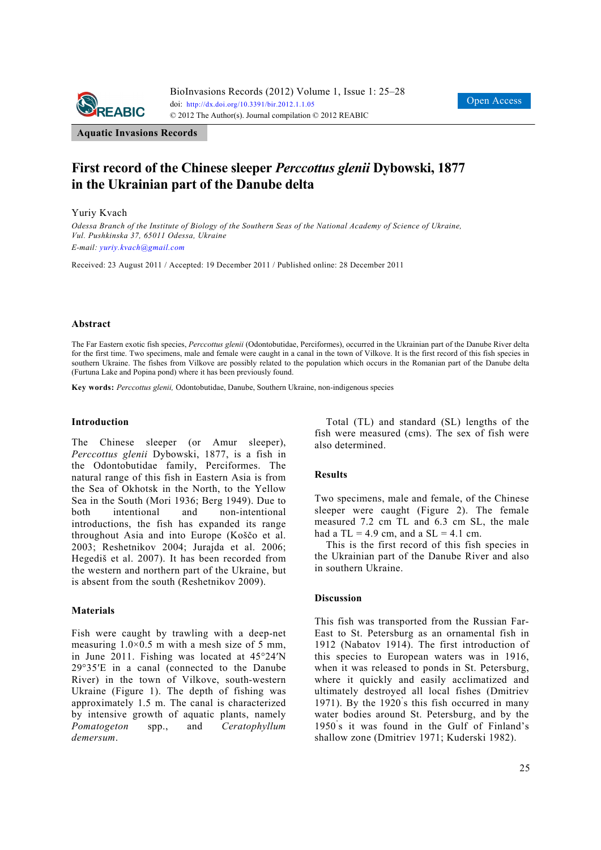

**Aquatic Invasions Records** 

# **First record of the Chinese sleeper** *Perccottus glenii* **Dybowski, 1877 in the Ukrainian part of the Danube delta**

#### Yuriy Kvach

*Odessa Branch of the Institute of Biology of the Southern Seas of the National Academy of Science of Ukraine, Vul. Pushkinska 37, 65011 Odessa, Ukraine E-mail: yuriy.kvach@gmail.com* 

Received: 23 August 2011 / Accepted: 19 December 2011 / Published online: 28 December 2011

# **Abstract**

The Far Eastern exotic fish species, *Perccottus glenii* (Odontobutidae, Perciformes), occurred in the Ukrainian part of the Danube River delta for the first time. Two specimens, male and female were caught in a canal in the town of Vilkove. It is the first record of this fish species in southern Ukraine. The fishes from Vilkove are possibly related to the population which occurs in the Romanian part of the Danube delta (Furtuna Lake and Popina pond) where it has been previously found.

**Key words:** *Perccottus glenii,* Odontobutidae, Danube, Southern Ukraine, non-indigenous species

#### **Introduction**

The Chinese sleeper (or Amur sleeper), *Perccottus glenii* Dybowski, 1877, is a fish in the Odontobutidae family, Perciformes. The natural range of this fish in Eastern Asia is from the Sea of Okhotsk in the North, to the Yellow Sea in the South (Mori 1936; Berg 1949). Due to both intentional and non-intentional introductions, the fish has expanded its range throughout Asia and into Europe (Koščo et al. 2003; Reshetnikov 2004; Jurajda et al. 2006; Hegediš et al. 2007). It has been recorded from the western and northern part of the Ukraine, but is absent from the south (Reshetnikov 2009).

# **Materials**

Fish were caught by trawling with a deep-net measuring  $1.0 \times 0.5$  m with a mesh size of 5 mm. in June 2011. Fishing was located at 45°24′N 29°35′E in a canal (connected to the Danube River) in the town of Vilkove, south-western Ukraine (Figure 1). The depth of fishing was approximately 1.5 m. The canal is characterized by intensive growth of aquatic plants, namely *Pomatogeton* spp., and *Ceratophyllum demersum*.

Total (TL) and standard (SL) lengths of the fish were measured (cms). The sex of fish were also determined.

# **Results**

Two specimens, male and female, of the Chinese sleeper were caught (Figure 2). The female measured 7.2 cm TL and 6.3 cm SL, the male had a  $TL = 4.9$  cm, and a  $SL = 4.1$  cm.

This is the first record of this fish species in the Ukrainian part of the Danube River and also in southern Ukraine.

# **Discussion**

This fish was transported from the Russian Far-East to St. Petersburg as an ornamental fish in 1912 (Nabatov 1914). The first introduction of this species to European waters was in 1916, when it was released to ponds in St. Petersburg, where it quickly and easily acclimatized and ultimately destroyed all local fishes (Dmitriev 1971). By the 1920' s this fish occurred in many water bodies around St. Petersburg, and by the 1950' s it was found in the Gulf of Finland's shallow zone (Dmitriev 1971; Kuderski 1982).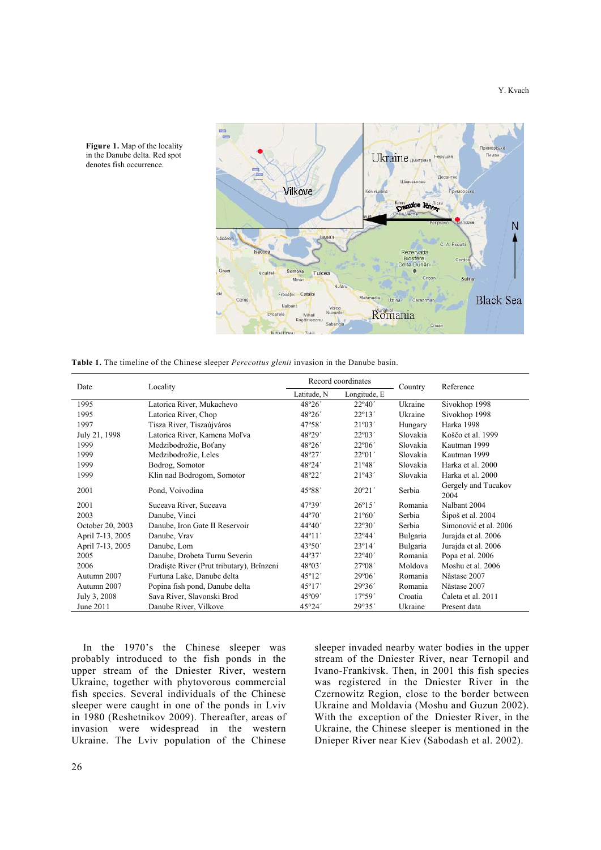

**Figure 1.** Map of the locality in the Danube delta. Red spot denotes fish occurrence.

**Table 1.** The timeline of the Chinese sleeper *Perccottus glenii* invasion in the Danube basin.

| Date             | Locality                                  | Record coordinates |                 | Country  | Reference                   |
|------------------|-------------------------------------------|--------------------|-----------------|----------|-----------------------------|
|                  |                                           | Latitude, N        | Longitude, E    |          |                             |
| 1995             | Latorica River, Mukachevo                 | 48°26′             | $22^{\circ}40'$ | Ukraine  | Sivokhop 1998               |
| 1995             | Latorica River, Chop                      | 48°26′             | $22^{\circ}13'$ | Ukraine  | Sivokhop 1998               |
| 1997             | Tisza River, Tiszaújváros                 | 47°58′             | 21°03'          | Hungary  | Harka 1998                  |
| July 21, 1998    | Latorica River, Kamena Moľva              | 48°29'             | $22^{\circ}03'$ | Slovakia | Koščo et al. 1999           |
| 1999             | Medzibodrožie, Boťany                     | 48°26'             | $22^{\circ}06'$ | Slovakia | Kautman 1999                |
| 1999             | Medzibodrožie, Leles                      | 48°27'             | $22^{\circ}01'$ | Slovakia | Kautman 1999                |
| 1999             | Bodrog, Somotor                           | 48°24'             | 21°48'          | Slovakia | Harka et al. 2000           |
| 1999             | Klin nad Bodrogom, Somotor                | 48°22'             | 21°43'          | Slovakia | Harka et al. 2000           |
| 2001             | Pond, Voivodina                           | 45°88'             | $20^{\circ}21'$ | Serbia   | Gergely and Tucakov<br>2004 |
| 2001             | Suceava River, Suceava                    | 47°39'             | $26^{\circ}15'$ | Romania  | Nalbant 2004                |
| 2003             | Danube, Vinci                             | 44°70′             | $21^{\circ}60'$ | Serbia   | Šipoš et al. 2004           |
| October 20, 2003 | Danube, Iron Gate II Reservoir            | $44^{\circ}40'$    | $22^{\circ}30'$ | Serbia   | Simonović et al. 2006       |
| April 7-13, 2005 | Danube, Vrav                              | $44^{\circ}11'$    | 22°44'          | Bulgaria | Jurajda et al. 2006         |
| April 7-13, 2005 | Danube, Lom                               | 43°50'             | $23^{\circ}14'$ | Bulgaria | Jurajda et al. 2006         |
| 2005             | Danube, Drobeta Turnu Severin             | $44^{\circ}37'$    | $22^{\circ}40'$ | Romania  | Popa et al. 2006            |
| 2006             | Dradiste River (Prut tributary), Brînzeni | 48°03′             | $27^{\circ}08'$ | Moldova  | Moshu et al. 2006           |
| Autumn 2007      | Furtuna Lake, Danube delta                | 45°12'             | $29^{\circ}06'$ | Romania  | Năstase 2007                |
| Autumn 2007      | Popina fish pond, Danube delta            | 45°17'             | 29°36'          | Romania  | Năstase 2007                |
| July 3, 2008     | Sava River, Slavonski Brod                | 45°09'             | 17°59'          | Croatia  | Caleta et al. 2011          |
| June 2011        | Danube River, Vilkove                     | 45°24'             | 29°35'          | Ukraine  | Present data                |

In the 1970's the Chinese sleeper was probably introduced to the fish ponds in the upper stream of the Dniester River, western Ukraine, together with phytovorous commercial fish species. Several individuals of the Chinese sleeper were caught in one of the ponds in Lviv in 1980 (Reshetnikov 2009). Thereafter, areas of invasion were widespread in the western Ukraine. The Lviv population of the Chinese sleeper invaded nearby water bodies in the upper stream of the Dniester River, near Ternopil and Ivano-Frankivsk. Then, in 2001 this fish species was registered in the Dniester River in the Czernowitz Region, close to the border between Ukraine and Moldavia (Moshu and Guzun 2002). With the exception of the Dniester River, in the Ukraine, the Chinese sleeper is mentioned in the Dnieper River near Kiev (Sabodash et al. 2002).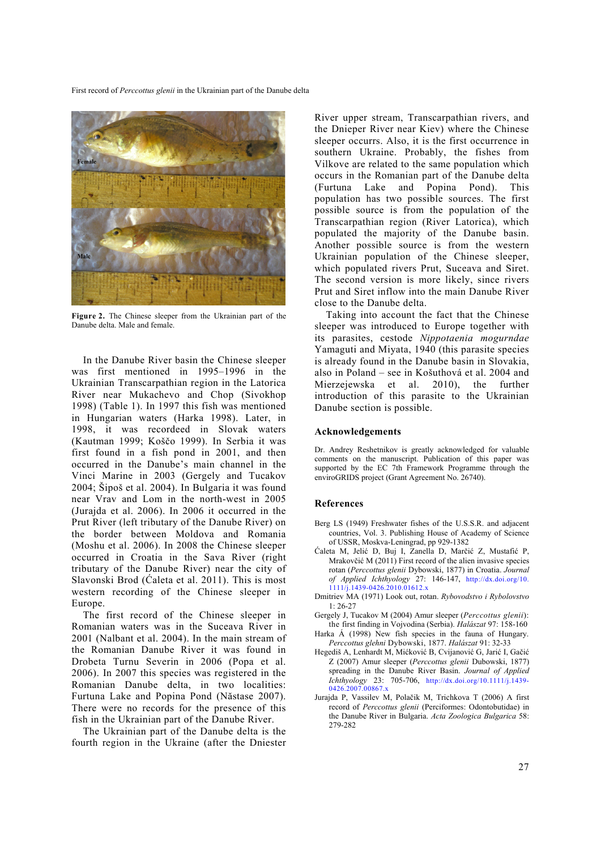

**Figure 2.** The Chinese sleeper from the Ukrainian part of the Danube delta. Male and female.

In the Danube River basin the Chinese sleeper was first mentioned in 1995–1996 in the Ukrainian Transcarpathian region in the Latorica River near Mukachevo and Chop (Sivokhop 1998) (Table 1). In 1997 this fish was mentioned in Hungarian waters (Harka 1998). Later, in 1998, it was recordeed in Slovak waters (Kautman 1999; Koščo 1999). In Serbia it was first found in a fish pond in 2001, and then occurred in the Danube's main channel in the Vinci Marine in 2003 (Gergely and Tucakov 2004; Šipoš et al. 2004). In Bulgaria it was found near Vrav and Lom in the north-west in 2005 (Jurajda et al. 2006). In 2006 it occurred in the Prut River (left tributary of the Danube River) on the border between Moldova and Romania (Moshu et al. 2006). In 2008 the Chinese sleeper occurred in Croatia in the Sava River (right tributary of the Danube River) near the city of Slavonski Brod (Ćaleta et al. 2011). This is most western recording of the Chinese sleeper in Europe.

The first record of the Chinese sleeper in Romanian waters was in the Suceava River in 2001 (Nalbant et al. 2004). In the main stream of the Romanian Danube River it was found in Drobeta Turnu Severin in 2006 (Popa et al. 2006). In 2007 this species was registered in the Romanian Danube delta, in two localities: Furtuna Lake and Popina Pond (Năstase 2007). There were no records for the presence of this fish in the Ukrainian part of the Danube River.

The Ukrainian part of the Danube delta is the fourth region in the Ukraine (after the Dniester River upper stream, Transcarpathian rivers, and the Dnieper River near Kiev) where the Chinese sleeper occurrs. Also, it is the first occurrence in southern Ukraine. Probably, the fishes from Vilkove are related to the same population which occurs in the Romanian part of the Danube delta (Furtuna Lake and Popina Pond). This population has two possible sources. The first possible source is from the population of the Transcarpathian region (River Latorica), which populated the majority of the Danube basin. Another possible source is from the western Ukrainian population of the Chinese sleeper, which populated rivers Prut, Suceava and Siret. The second version is more likely, since rivers Prut and Siret inflow into the main Danube River close to the Danube delta.

Taking into account the fact that the Chinese sleeper was introduced to Europe together with its parasites, cestode *Nippotaenia mogurndae* Yamaguti and Miyata, 1940 (this parasite species is already found in the Danube basin in Slovakia, also in Poland – see in Košuthová et al. 2004 and Mierzejewska et al. 2010), the further introduction of this parasite to the Ukrainian Danube section is possible.

#### **Acknowledgements**

Dr. Andrey Reshetnikov is greatly acknowledged for valuable comments on the manuscript. Publication of this paper was supported by the EC 7th Framework Programme through the enviroGRIDS project (Grant Agreement No. 26740).

#### **References**

- Berg LS (1949) Freshwater fishes of the U.S.S.R. and adjacent countries, Vol. 3. Publishing House of Academy of Science of USSR, Moskva-Leningrad, pp 929-1382
- Ćaleta M, Jelić D, Buj I, Zanella D, Marčić Z, Mustafić P, Mrakovčić M (2011) First record of the alien invasive species rotan (*Perccottus glenii* Dybowski, 1877) in Croatia. *Journal of Applied Ichthyology* 27: 146-147, http://dx.doi.org/10. 1111/j.1439-0426.2010.01612.x
- Dmitriev MA (1971) Look out, rotan. *Rybovodstvo i Rybolovstvo* 1: 26-27
- Gergely J, Tucakov M (2004) Amur sleeper (*Perccottus glenii*): the first finding in Vojvodina (Serbia). *Halászat* 97: 158-160
- Harka Á (1998) New fish species in the fauna of Hungary. *Perccottus glehni* Dybowski, 1877. *Halászat* 91: 32-33
- Hegediš A, Lenhardt M, Mićković B, Cvijanović G, Jarić I, Gačić Z (2007) Amur sleeper (*Perccottus glenii* Dubowski, 1877) spreading in the Danube River Basin. *Journal of Applied Ichthyology* 23: 705-706, http://dx.doi.org/10.1111/j.1439- 0426.2007.00867.x
- Jurajda P, Vassilev M, Polačik M, Trichkova T (2006) A first record of *Perccottus glenii* (Perciformes: Odontobutidae) in the Danube River in Bulgaria. *Acta Zoologica Bulgarica* 58: 279-282